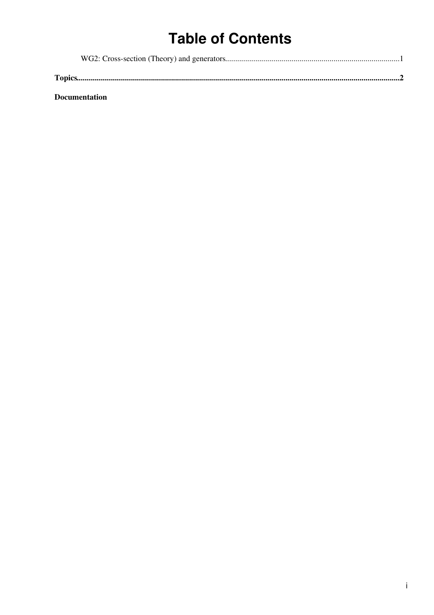# **Table of Contents**

**Documentation**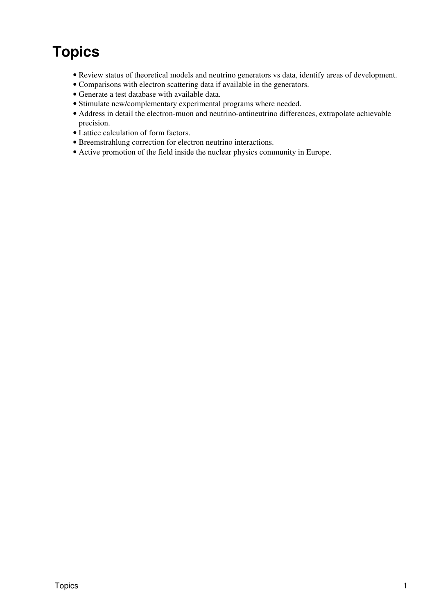# <span id="page-1-0"></span>**Topics**

- Review status of theoretical models and neutrino generators vs data, identify areas of development.
- Comparisons with electron scattering data if available in the generators.
- Generate a test database with available data.
- Stimulate new/complementary experimental programs where needed.
- Address in detail the electron-muon and neutrino-antineutrino differences, extrapolate achievable precision.
- Lattice calculation of form factors.
- Breemstrahlung correction for electron neutrino interactions.
- Active promotion of the field inside the nuclear physics community in Europe.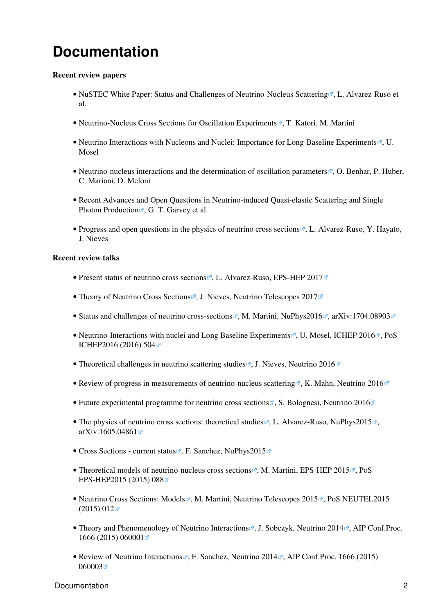# <span id="page-2-0"></span>**Documentation**

### **Recent review papers**

- [NuSTEC White Paper: Status and Challenges of Neutrino-Nucleus Scattering](https://arxiv.org/abs/1706.03621)<sup>®</sup>, L. Alvarez-Ruso et al.
- [Neutrino-Nucleus Cross Sections for Oscillation Experiments](https://arxiv.org/abs/1611.07770)<sup>®</sup>, T. Katori, M. Martini
- [Neutrino Interactions with Nucleons and Nuclei: Importance for Long-Baseline Experiments](https://arxiv.org/abs/1602.00696)<sup>®</sup>, U. Mosel
- [Neutrino-nucleus interactions and the determination of oscillation parameters](https://arxiv.org/abs/1501.06448)<sup>®</sup>, O. Benhar, P. Huber, C. Mariani, D. Meloni
- [Recent Advances and Open Questions in Neutrino-induced Quasi-elastic Scattering and Single](https://arxiv.org/abs/1412.4294) [Photon Production](https://arxiv.org/abs/1412.4294)  $\mathbb{F}$ , G. T. Garvey et al.
- [Progress and open questions in the physics of neutrino cross sections](https://arxiv.org/abs/1403.2673)<sup>®</sup>, L. Alvarez-Ruso, Y. Hayato, J. Nieves

## **Recent review talks**

- [Present status of neutrino cross sections](https://indico.cern.ch/event/466934/contributions/2583516/attachments/1488694/2313092/LAR_v4.pdf)  $\mathbb{R}$ , L. Alvarez-Ruso, [EPS-HEP 2017](http://eps-hep2017.eu/) $\mathbb{R}$
- [Theory of Neutrino Cross Sections](https://agenda.infn.it/getFile.py/access?contribId=48&sessionId=14&resId=0&materialId=slides&confId=11857)  $\mathbb{Z}$ , J. Nieves, [Neutrino Telescopes 2017](https://agenda.infn.it/internalPage.py?pageId=0&confId=11857) $\mathbb{Z}$
- [Status and challenges of neutrino cross-sections](https://indico.ph.qmul.ac.uk/indico/getFile.py/access?contribId=41&resId=0&materialId=slides&confId=112)  $\mathbb{R}$ , M. Martini, [NuPhys2016](https://indico.ph.qmul.ac.uk/indico/conferenceDisplay.py?confId=112) $\mathbb{R}$ , [arXiv:1704.08903](https://arxiv.org/abs/1704.08903) $\mathbb{R}$
- [Neutrino-Interactions with nuclei and Long Baseline Experiments](https://indico.cern.ch/event/432527/contributions/1071522/attachments/1321169/1981322/ICHEP16.pdf)<sup>®</sup>, U. Mosel, [ICHEP 2016](http://www.ichep2016.org/)<sup>®</sup>, [PoS](https://arxiv.org/abs/1611.00373) [ICHEP2016 \(2016\) 504](https://arxiv.org/abs/1611.00373)
- [Theoretical challenges in neutrino scattering studies](https://www.iopconferences.org/IOP/media/uploaded/EVIOP/event_948/11.00___2_.pdf)  $\mathbb{F}$ , J. Nieves, [Neutrino 2016](http://neutrino2016.iopconfs.org/home)
- [Review of progress in measurements of neutrino-nucleus scattering](https://www.iopconferences.org/IOP/media/uploaded/EVIOP/event_948/11.20___2_.pdf)  $\mathbb{Z}$ , K. Mahn, [Neutrino 2016](http://neutrino2016.iopconfs.org/home)  $\mathbb{Z}$
- [Future experimental programme for neutrino cross sections](https://www.iopconferences.org/IOP/media/uploaded/EVIOP/event_948/12.30___2_.pdf)  $\mathbb{F}$ , S. Bolognesi, [Neutrino 2016](http://neutrino2016.iopconfs.org/home) $\mathbb{F}$
- [The physics of neutrino cross sections: theoretical studies](https://indico.ph.qmul.ac.uk/indico/getFile.py/access?contribId=9&resId=0&materialId=slides&confId=48) <sup>®</sup>, L. Alvarez-Ruso, [NuPhys2015](https://indico.ph.qmul.ac.uk/indico/conferenceDisplay.py?ovw=True&confId=48)<sup>®</sup>, [arXiv:1605.04861](https://arxiv.org/abs/1605.04861) $\blacksquare$
- [Cross Sections current status](https://indico.ph.qmul.ac.uk/indico/getFile.py/access?contribId=10&resId=0&materialId=slides&confId=48) <sup>®</sup>, F. Sanchez, [NuPhys2015](https://indico.ph.qmul.ac.uk/indico/conferenceDisplay.py?ovw=True&confId=48)<sup>®</sup>
- [Theoretical models of neutrino-nucleus cross sections](https://indico.cern.ch/event/356420/contributions/1764597/attachments/1129993/1614801/martini_eps_2015.pdf)<sup>®</sup>, M. Martini, [EPS-HEP 2015](http://eps-hep2015.eu/)<sup>®</sup>, [PoS](http://inspirehep.net/record/1430509/files/PoS(EPS-HEP2015)088.pdf) [EPS-HEP2015 \(2015\) 088](http://inspirehep.net/record/1430509/files/PoS(EPS-HEP2015)088.pdf)
- [Neutrino Cross Sections: Models](https://agenda.infn.it/getFile.py/access?contribId=79&sessionId=15&resId=0&materialId=slides&confId=8620)&, M. Martini, [Neutrino Telescopes 2015](https://agenda.infn.it/internalPage.py?pageId=0&confId=8620) , PoS NEUTEL 2015  $(2015) 012$
- [Theory and Phenomenology of Neutrino Interactions](https://indico.fnal.gov/getFile.py/access?contribId=248&sessionId=13&resId=0&materialId=slides&confId=8022) , J. Sobczyk, [Neutrino 2014](http://neutrino2014.bu.edu/) . AIP Conf. Proc. [1666 \(2015\) 060001](http://aip.scitation.org/doi/pdf/10.1063/1.4915557)
- [Review of Neutrino Interactions](https://indico.fnal.gov/getFile.py/access?contribId=247&sessionId=13&resId=0&materialId=slides&confId=8022)<sup>®</sup>, F. Sanchez, [Neutrino 2014](http://neutrino2014.bu.edu/)<sup>®</sup>, [AIP Conf.Proc. 1666 \(2015\)](http://aip.scitation.org/doi/pdf/10.1063/1.4915559) [060003](http://aip.scitation.org/doi/pdf/10.1063/1.4915559)₫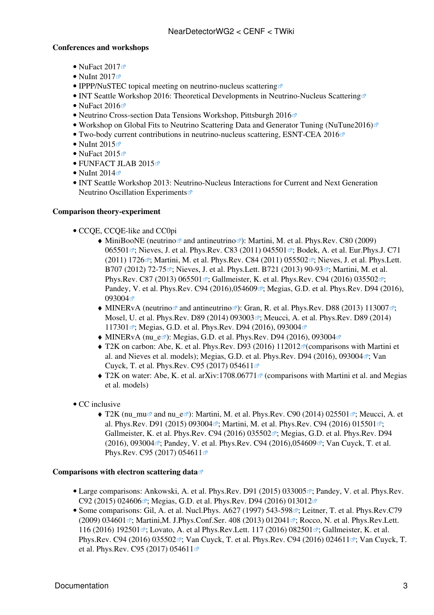## **Conferences and workshops**

- NuFact  $2017$
- NuInt  $2017$
- [IPPP/NuSTEC topical meeting on neutrino-nucleus scattering](http://conference.ippp.dur.ac.uk/event/583/timetable/#20170418.detailed)
- [INT Seattle Workshop 2016: Theoretical Developments in Neutrino-Nucleus Scattering](http://www.int.washington.edu/talks/WorkShops/int_16_63W/)
- NuFact  $2016$
- [Neutrino Cross-section Data Tensions Workshop, Pittsburgh 2016](http://nugevxsectensions.pbworks.com/w/page/107587302/Neutrino%20Cross-section%20Data%20Tensions%20Workshop)<sup>®</sup>
- [Workshop on Global Fits to Neutrino Scattering Data and Generator Tuning \(NuTune2016\)](https://indico.fnal.gov/conferenceTimeTable.py?confId=11610#20160711.detailed)<sup>®</sup>
- [Two-body current contributions in neutrino-nucleus scattering, ESNT-CEA 2016](http://esnt.cea.fr/Phocea/Page/index.php?id=59)<sup>®</sup>
- NuInt  $2015$
- NuFact  $2015$
- [FUNFACT JLAB 2015](https://www.jlab.org/conferences/funfact/program.html)<sup>®</sup>
- NuInt  $2014$
- [INT Seattle Workshop 2013: Neutrino-Nucleus Interactions for Current and Next Generation](http://www.int.washington.edu/talks/WorkShops/int_13_54W/) [Neutrino Oscillation Experiments](http://www.int.washington.edu/talks/WorkShops/int_13_54W/)<sup>®</sup>

## **Comparison theory-experiment**

- CCQE, CCQE-like and CC0pi
	- [MiniBooNE](https://twiki.cern.ch/twiki/bin/edit/CENF/MiniBooNE?topicparent=CENF.NearDetectorWG2;nowysiwyg=1) ([neutrino](https://arxiv.org/abs/1002.2680) and [antineutrino](https://arxiv.org/abs/1301.7067) and  $M$ . [Martini, M. et al. Phys.Rev. C80 \(2009\)](https://arxiv.org/abs/0910.2622) [065501](https://arxiv.org/abs/0910.2622)<sup>®</sup>; [Nieves, J. et al. Phys.Rev. C83 \(2011\) 045501](https://arxiv.org/abs/1102.2777)<sup>®</sup>; [Bodek, A. et al. Eur.Phys.J. C71](https://arxiv.org/abs/1106.0340) [\(2011\) 1726](https://arxiv.org/abs/1106.0340)<sup> $\sigma$ </sup>; [Martini, M. et al. Phys.Rev. C84 \(2011\) 055502](https://arxiv.org/abs/1110.0221) $\sigma$ <sup>2</sup>; [Nieves, J. et al. Phys.Lett.](https://arxiv.org/abs/1106.5374) [B707 \(2012\) 72-75](https://arxiv.org/abs/1106.5374) °: [Nieves, J. et al. Phys.Lett. B721 \(2013\) 90-93](https://arxiv.org/abs/1302.0703) °; [Martini, M. et al.](https://arxiv.org/abs/1303.7199) [Phys.Rev. C87 \(2013\) 065501](https://arxiv.org/abs/1303.7199) :: [Gallmeister, K. et al. Phys.Rev. C94 \(2016\) 035502](https://arxiv.org/abs/1605.09391) :: [Pandey, V. et al. Phys.Rev. C94 \(2016\),054609](https://arxiv.org/abs/1607.01216)<sup>®</sup>; [Megias, G.D. et al. Phys.Rev. D94 \(2016\),](https://arxiv.org/abs/1607.08565) [093004](https://arxiv.org/abs/1607.08565)₫
	- [MINERvA](https://twiki.cern.ch/twiki/bin/edit/CENF/MINERvA?topicparent=CENF.NearDetectorWG2;nowysiwyg=1) [\(neutrino](https://arxiv.org/abs/1305.2243) $\Phi$  and [antineutrino](https://arxiv.org/abs/1305.2234) $\Phi$ ): Gran, R. et al. Phys. Rev. D88 (2013) 113007 $\Phi$ ; [Mosel, U. et al. Phys.Rev. D89 \(2014\) 093003](https://arxiv.org/abs/1402.0297)<sup>®</sup>; [Meucci, A. et al. Phys.Rev. D89 \(2014\)](https://arxiv.org/abs/1404.3554) [117301](https://arxiv.org/abs/1404.3554)<sup> $\mathbb{Z}$ </sup>; [Megias, G.D. et al. Phys.Rev. D94 \(2016\), 093004](https://arxiv.org/abs/1607.08565) $\mathbb{Z}$
	- $\blacklozenge$  [MINERvA](https://twiki.cern.ch/twiki/bin/edit/CENF/MINERvA?topicparent=CENF.NearDetectorWG2;nowysiwyg=1) [\(nu\\_e](https://arxiv.org/abs/1509.05729)<sup> $\heartsuit$ </sup>): [Megias, G.D. et al. Phys.Rev. D94 \(2016\), 093004](https://arxiv.org/abs/1607.08565) $\heartsuit$
	- $\blacklozenge$  [T2K](https://twiki.cern.ch/twiki/bin/edit/CENF/T2K?topicparent=CENF.NearDetectorWG2;nowysiwyg=1) on carbon: [Abe, K. et al. Phys.Rev. D93 \(2016\) 112012](https://arxiv.org/abs/1602.03652)<sup>a</sup> (comparisons with Martini et al. and Nieves et al. models); [Megias, G.D. et al. Phys.Rev. D94 \(2016\), 093004](https://arxiv.org/abs/1607.08565) $\mathcal{P}$ : [Van](https://arxiv.org/abs/1702.06402) [Cuyck, T. et al. Phys.Rev. C95 \(2017\) 054611](https://arxiv.org/abs/1702.06402)
	- [T2K](https://twiki.cern.ch/twiki/bin/edit/CENF/T2K?topicparent=CENF.NearDetectorWG2;nowysiwyg=1) on water: [Abe, K. et al. arXiv:1708.06771](https://arxiv.org/abs/1708.06771)<sup>®</sup> (comparisons with Martini et al. and Megias et al. models)
- CC inclusive
	- $\blacklozenge$  [T2K](https://twiki.cern.ch/twiki/bin/edit/CENF/T2K?topicparent=CENF.NearDetectorWG2;nowysiwyg=1) ([nu\\_mu](https://arxiv.org/abs/1302.4908) $\mathbb{F}$  and [nu\\_e](https://arxiv.org/abs/1407.7389) $\mathbb{F}$ ): [Martini, M. et al. Phys.Rev. C90 \(2014\) 025501](https://arxiv.org/abs/1404.1490) $\mathbb{F}$ ; [Meucci, A. et](https://arxiv.org/abs/1501.03213) [al. Phys.Rev. D91 \(2015\) 093004](https://arxiv.org/abs/1501.03213) $\vec{r}$ ; [Martini, M. et al. Phys.Rev. C94 \(2016\) 015501](https://arxiv.org/abs/1602.00230) $\vec{r}$ ; [Gallmeister, K. et al. Phys.Rev. C94 \(2016\) 035502](https://arxiv.org/abs/1605.09391)<sup>®</sup>; [Megias, G.D. et al. Phys.Rev. D94](https://arxiv.org/abs/1607.08565) [\(2016\), 093004](https://arxiv.org/abs/1607.08565)<sup> $\sigma$ </sup>; [Pandey, V. et al. Phys.Rev. C94 \(2016\),054609](https://arxiv.org/abs/1607.01216) $\sigma$ ; [Van Cuyck, T. et al.](https://arxiv.org/abs/1702.06402) [Phys.Rev. C95 \(2017\) 054611](https://arxiv.org/abs/1702.06402) $\vec{r}$

#### **Comparisons with [electron scattering data](http://faculty.virginia.edu/qes-archive/)**

- Large comparisons: [Ankowski, A. et al. Phys.Rev. D91 \(2015\) 033005](https://arxiv.org/abs/1404.5687)<sup>®</sup>; [Pandey, V. et al. Phys.Rev.](https://arxiv.org/abs/1412.4624) [C92 \(2015\) 024606](https://arxiv.org/abs/1412.4624) $\vec{r}$ ; [Megias, G.D. et al. Phys.Rev. D94 \(2016\) 013012](https://arxiv.org/abs/1603.08396) $\vec{r}$
- Some comparisons: [Gil, A. et al. Nucl.Phys. A627 \(1997\) 543-598](https://arxiv.org/abs/nucl-th/9711009) <sup>3</sup>; [Leitner, T. et al. Phys.Rev.C79](https://arxiv.org/abs/0812.0587)  $(2009)$  034601 $\mathbb{r}$ ; Martini, M. J.Phys.Conf.Ser. 408 (2013) 012041 $\mathbb{r}$ ; [Rocco, N. et al. Phys.Rev.Lett.](https://arxiv.org/abs/1512.07426) [116 \(2016\) 192501](https://arxiv.org/abs/1512.07426)<sup>®</sup>; [Lovato, A. et al Phys.Rev.Lett. 117 \(2016\) 082501](https://arxiv.org/abs/1606.00273)<sup>®</sup>; [Gallmeister, K. et al.](https://arxiv.org/abs/1605.09391) [Phys.Rev. C94 \(2016\) 035502](https://arxiv.org/abs/1605.09391)<sup>®</sup>; [Van Cuyck, T. et al. Phys.Rev. C94 \(2016\) 024611](https://arxiv.org/abs/1606.00273)<sup>®</sup>; [Van Cuyck, T.](https://arxiv.org/abs/1702.06402) [et al. Phys.Rev. C95 \(2017\) 054611](https://arxiv.org/abs/1702.06402)<sup>®</sup>